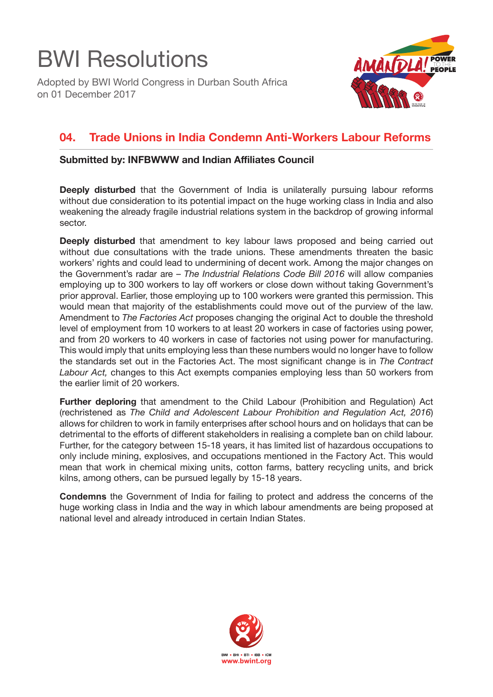## BWI Resolutions

Adopted by BWI World Congress in Durban South Africa on 01 December 2017



## **04. Trade Unions in India Condemn Anti-Workers Labour Reforms**

## **Submitted by: INFBWWW and Indian Affiliates Council**

**Deeply disturbed** that the Government of India is unilaterally pursuing labour reforms without due consideration to its potential impact on the huge working class in India and also weakening the already fragile industrial relations system in the backdrop of growing informal sector.

**Deeply disturbed** that amendment to key labour laws proposed and being carried out without due consultations with the trade unions. These amendments threaten the basic workers' rights and could lead to undermining of decent work. Among the major changes on the Government's radar are – *The Industrial Relations Code Bill 2016* will allow companies employing up to 300 workers to lay off workers or close down without taking Government's prior approval. Earlier, those employing up to 100 workers were granted this permission. This would mean that majority of the establishments could move out of the purview of the law. Amendment to *The Factories Act* proposes changing the original Act to double the threshold level of employment from 10 workers to at least 20 workers in case of factories using power, and from 20 workers to 40 workers in case of factories not using power for manufacturing. This would imply that units employing less than these numbers would no longer have to follow the standards set out in the Factories Act. The most significant change is in *The Contract Labour Act,* changes to this Act exempts companies employing less than 50 workers from the earlier limit of 20 workers.

**Further deploring** that amendment to the Child Labour (Prohibition and Regulation) Act (rechristened as *The Child and Adolescent Labour Prohibition and Regulation Act, 2016*) allows for children to work in family enterprises after school hours and on holidays that can be detrimental to the efforts of different stakeholders in realising a complete ban on child labour. Further, for the category between 15-18 years, it has limited list of hazardous occupations to only include mining, explosives, and occupations mentioned in the Factory Act. This would mean that work in chemical mixing units, cotton farms, battery recycling units, and brick kilns, among others, can be pursued legally by 15-18 years.

**Condemns** the Government of India for failing to protect and address the concerns of the huge working class in India and the way in which labour amendments are being proposed at national level and already introduced in certain Indian States.